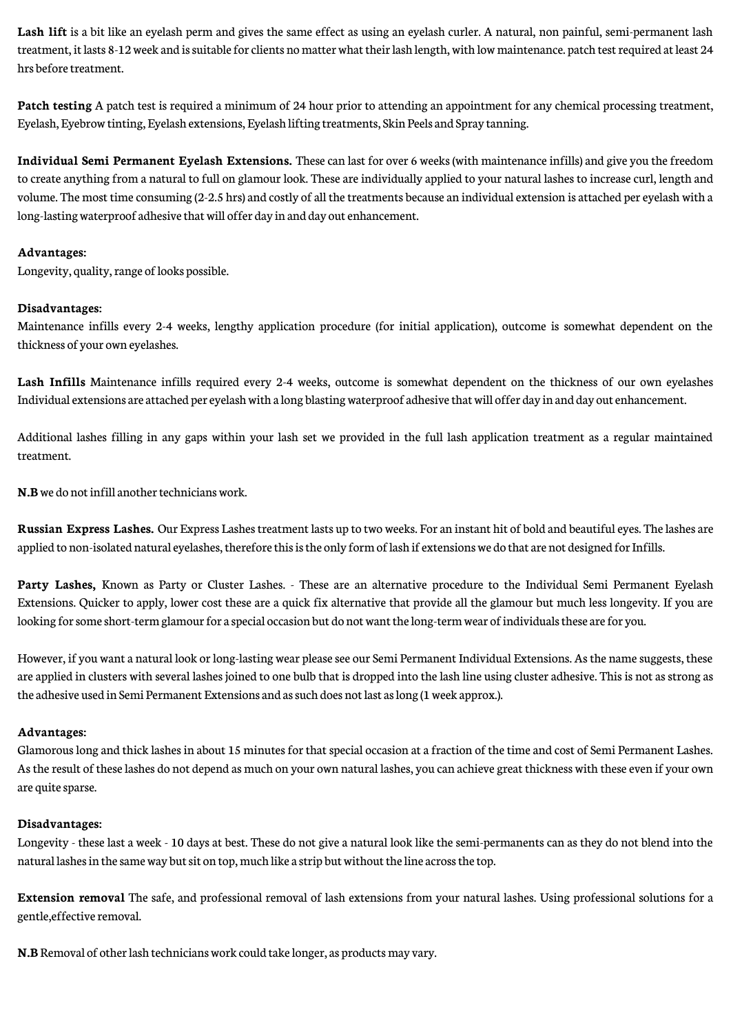**Lash lift** is a bit like an eyelash perm and gives the same effect as using an eyelash curler. A natural, non painful, semi-permanent lash treatment, it lasts 8-12 week and is suitable for clients no matter what their lash length, with low maintenance. patch test required at least 24 hrs before treatment.

**Patch testing** A patch test is required a minimum of 24 hour prior to attending an appointment for any chemical processing treatment, Eyelash, Eyebrowtinting, Eyelash extensions, Eyelash lifting treatments, Skin Peels and Spray tanning.

**Individual Semi Permanent Eyelash Extensions.** Thesecan last for over 6 weeks (with maintenanceinfills) and give you thefreedom to create anything from a natural to full on glamour look. These are individually applied to your natural lashes to increase curl, length and volume. The most time consuming (2-2.5 hrs) and costly of all the treatments because an individual extension is attached per eyelash with a long-lasting waterproof adhesive that will offer day in and day out enhancement.

## **Advantages:**

Longevity, quality, range of looks possible.

## **Disadvantages:**

Maintenance infills every 2-4 weeks, lengthy application procedure (for initial application), outcome is somewhat dependent on the thickness of your own eyelashes.

**Lash Infills** Maintenance infills required every 2-4 weeks, outcome is somewhat dependent on the thickness of our own eyelashes Individual extensions are attached per eyelash with a long blasting waterproof adhesive that will offer day in and day out enhancement.

Additional lashes filling in any gaps within your lash set we provided in the full lash application treatment as a regular maintained treatment.

**N.B** we do not infill another technicians work.

**Russian Express Lashes.** Our Express Lashes treatment lasts up to two weeks. For an instant hit of bold and beautifuleyes. Thelashes are applied to non-isolated natural evelashes, therefore this is the only form of lash if extensions we do that are not designed for Infills.

**Party Lashes,** Known as Party or Cluster Lashes. - These are an alternative procedure to the Individual Semi Permanent Eyelash Extensions. Quicker to apply, lower cost these are a quick fix alternative that provide all the glamour but much less longevity. If you are looking for some short-term glamour for a special occasion but do not want the long-term wear of individuals these are for you.

However, if you want a natural look or long-lasting wear please see our Semi Permanent Individual Extensions. As the name suggests, these are applied in clusters with several lashes joined to one bulb that is dropped into thelash line using cluster adhesive. This is not as strong as the adhesive used in Semi Permanent Extensions and as such does not last as long (1 week approx.).

#### **Advantages:**

Glamorous long and thick lashes in about 15 minutes for that special occasion at a fraction of thetime and cost of Semi Permanent Lashes. As the result of these lashes do not depend as much on your own natural lashes, you can achieve great thickness with these even if your own are quite sparse.

### **Disadvantages:**

Longevity - these last a week - 10 days at best. These do not give a natural look like the semi-permanents can as they do not blend into the natural lashes in the same way but sit on top, much like a strip but without the line across the top.

**Extension removal** The safe, and professional removal of lash extensions from your natural lashes. Using professional solutions for a gentle, effective removal.

**N.B** Removal of other lash technicians work could take longer, as products may vary.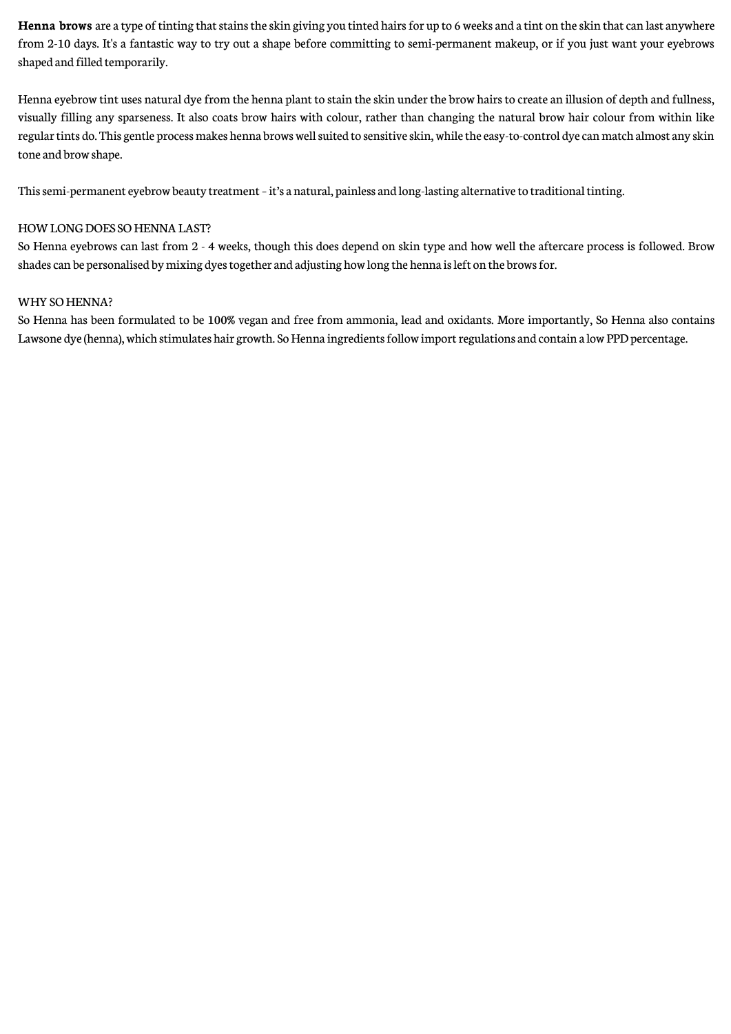Henna brows are a type of tinting that stains the skin giving you tinted hairs for up to 6 weeks and a tint on the skin that can last anywhere from 2-10 days. It's a fantastic way to try out a shape before committing to semi-permanent makeup, or if you just want your eyebrows shaped and filled temporarily.

Henna eyebrow tint uses natural dye from the henna plant to stain the skin under the brow hairs to create an illusion of depth and fullness, visually filling any sparseness. It also coats brow hairs with colour, rather than changing the natural brow hair colour from within like regular tints do. This gentle process makes henna brows well suited to sensitive skin, while the easy-to-control dye can match almost any skin tone and browshape.

This semi-permanent eyebrow beauty treatment - it's a natural, painless and long-lasting alternative to traditional tinting.

### HOW LONG DOES SO HENNA LAST?

So Henna eyebrows can last from 2 - 4 weeks, though this does depend on skin type and how well the aftercare process is followed. Brow shadescan be personalised bymixing dyestogether and adjusting howlong the henna isleft on the browsfor.

#### WHY SO HENNA?

So Henna has been formulated to be 100% vegan and free from ammonia, lead and oxidants. More importantly, So Henna also contains Lawsone dye (henna), which stimulates hair growth. So Henna ingredients follow import regulations and contain a low PPD percentage.